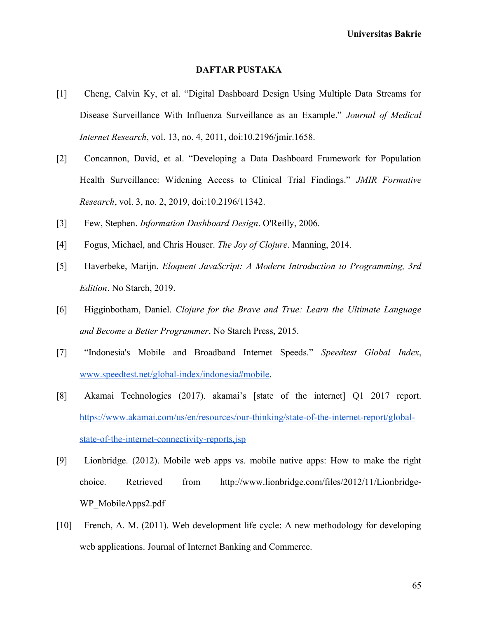**Universitas Bakrie**

## **DAFTAR PUSTAKA**

- [1] Cheng, Calvin Ky, et al. "Digital Dashboard Design Using Multiple Data Streams for Disease Surveillance With Influenza Surveillance as an Example." *Journal of Medical Internet Research*, vol. 13, no. 4, 2011, doi:10.2196/jmir.1658.
- [2] Concannon, David, et al. "Developing a Data Dashboard Framework for Population Health Surveillance: Widening Access to Clinical Trial Findings." *JMIR Formative Research*, vol. 3, no. 2, 2019, doi:10.2196/11342.
- [3] Few, Stephen. *Information Dashboard Design*. O'Reilly, 2006.
- [4] Fogus, Michael, and Chris Houser. *The Joy of Clojure*. Manning, 2014.
- [5] Haverbeke, Marijn. *Eloquent JavaScript: A Modern Introduction to Programming, 3rd Edition*. No Starch, 2019.
- [6] Higginbotham, Daniel. *Clojure for the Brave and True: Learn the Ultimate Language and Become a Better Programmer*. No Starch Press, 2015.
- [7] "Indonesia's Mobile and Broadband Internet Speeds." *Speedtest Global Index*, www.speedtest.net/global-index/indonesia#mobile.
- [8] Akamai Technologies (2017). akamai's [state of the internet] Q1 2017 report. https://www.akamai.com/us/en/resources/our-thinking/state-of-the-internet-report/globalstate-of-the-internet-connectivity-reports.jsp
- [9] Lionbridge. (2012). Mobile web apps vs. mobile native apps: How to make the right choice. Retrieved from http://www.lionbridge.com/files/2012/11/Lionbridge-WP\_MobileApps2.pdf
- [10] French, A. M. (2011). Web development life cycle: A new methodology for developing web applications. Journal of Internet Banking and Commerce.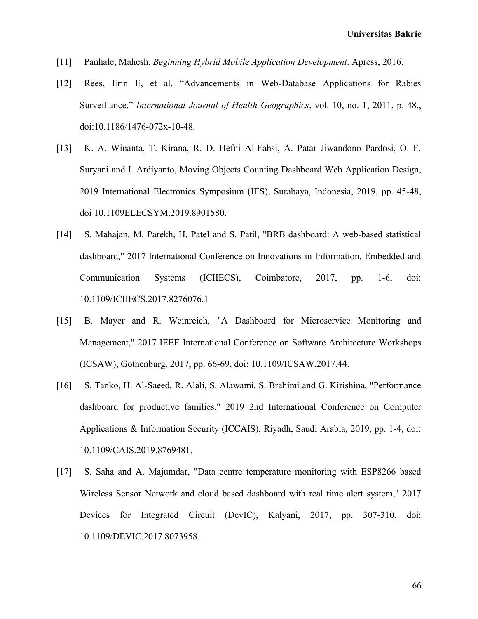- [11] Panhale, Mahesh. *Beginning Hybrid Mobile Application Development*. Apress, 2016.
- [12] Rees, Erin E, et al. "Advancements in Web-Database Applications for Rabies Surveillance." *International Journal of Health Geographics*, vol. 10, no. 1, 2011, p. 48., doi:10.1186/1476-072x-10-48.
- [13] K. A. Winanta, T. Kirana, R. D. Hefni Al-Fahsi, A. Patar Jiwandono Pardosi, O. F. Suryani and I. Ardiyanto, Moving Objects Counting Dashboard Web Application Design, 2019 International Electronics Symposium (IES), Surabaya, Indonesia, 2019, pp. 45-48, doi 10.1109ELECSYM.2019.8901580.
- [14] S. Mahajan, M. Parekh, H. Patel and S. Patil, "BRB dashboard: A web-based statistical dashboard," 2017 International Conference on Innovations in Information, Embedded and Communication Systems (ICIIECS), Coimbatore, 2017, pp. 1-6, doi: 10.1109/ICIIECS.2017.8276076.1
- [15] B. Mayer and R. Weinreich, "A Dashboard for Microservice Monitoring and Management," 2017 IEEE International Conference on Software Architecture Workshops (ICSAW), Gothenburg, 2017, pp. 66-69, doi: 10.1109/ICSAW.2017.44.
- [16] S. Tanko, H. Al-Saeed, R. Alali, S. Alawami, S. Brahimi and G. Kirishina, "Performance dashboard for productive families," 2019 2nd International Conference on Computer Applications & Information Security (ICCAIS), Riyadh, Saudi Arabia, 2019, pp. 1-4, doi: 10.1109/CAIS.2019.8769481.
- [17] S. Saha and A. Majumdar, "Data centre temperature monitoring with ESP8266 based Wireless Sensor Network and cloud based dashboard with real time alert system," 2017 Devices for Integrated Circuit (DevIC), Kalyani, 2017, pp. 307-310, doi: 10.1109/DEVIC.2017.8073958.